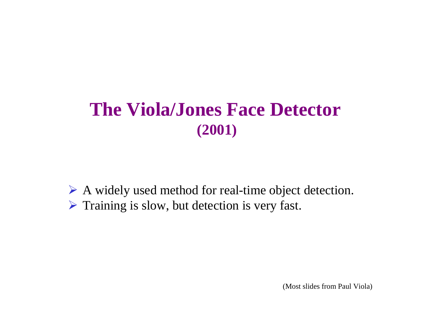## **The Viola/Jones Face Detector(2001)**

A widely used method for real-time object detection. Training is slow, but detection is very fast.

(Most slides from Paul Viola)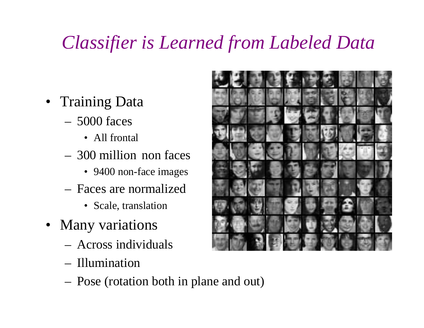# *Classifier is Learned from Labeled Data*

- Training Data
	- – 5000 faces
		- All frontal
	- – 300 million non faces
		- 9400 non-face images
	- – Faces are normalized
		- Scale, translation
- Many variations
	- –Across individuals
	- –Illumination
	- –Pose (rotation both in plane and out)

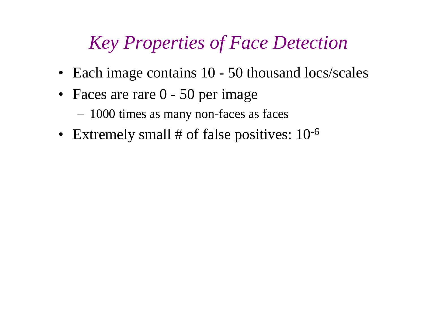## *Key Properties of Face Detection*

- Each image contains 10 50 thousand locs/scales
- Faces are rare 0 50 per image
	- –1000 times as many non-faces as faces
- Extremely small # of false positives:  $10^{-6}$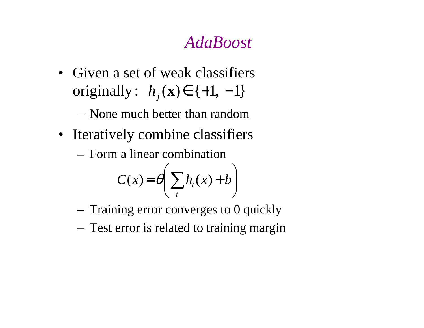#### *AdaBoost*

- Given a set of weak classifiersoriginally:  $h_j(\mathbf{x}) \in \{+1, -1\}$ 
	- –None much better than random
- Iteratively combine classifiers
	- –Form a linear combination

$$
C(x) = \theta \bigg(\sum_t h_t(x) + b\bigg)
$$

- –Training error converges to 0 quickly
- –Test error is related to training margin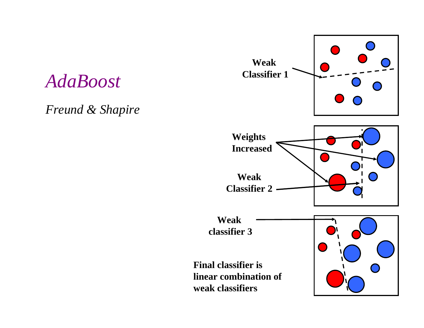#### *AdaBoost*

*Freund & Shapire*

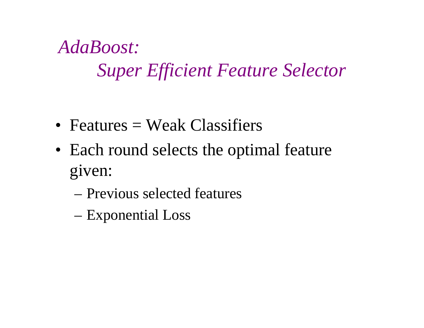*AdaBoost:Super Efficient Feature Selector*

- Features = Weak Classifiers
- Each round selects the optimal feature given:
	- Previous selected features
	- Exponential Loss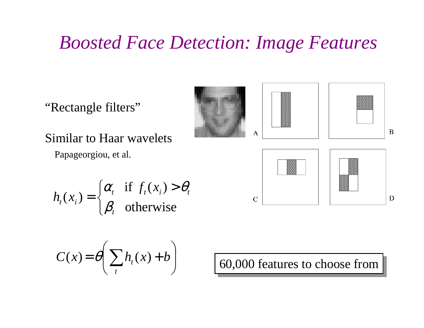## *Boosted Face Detection: Image Features*

"Rectangle filters"



 $\overline{C}$ 



 $\mathbf B$ 

 $\mathbf D$ 

Similar to Haar wavelets

Papageorgiou, et al.

$$
h_t(x_i) = \begin{cases} \alpha_t & \text{if } f_t(x_i) > \theta_t \\ \beta_t & \text{otherwise} \end{cases}
$$

$$
C(x) = \theta \left( \sum_{t} h_t(x) + b \right)
$$

60,000 features to choose from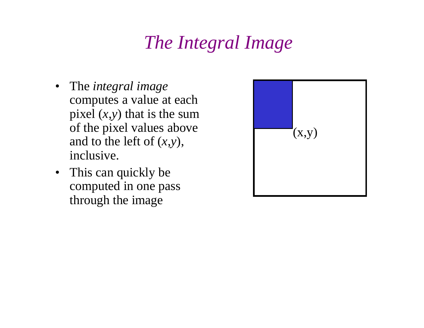# *The Integral Image*

- The *integral image*  computes a value at each pixel (*<sup>x</sup>*,*y*) that is the sum of the pixel values above and to the left of (*<sup>x</sup>*,*y*), inclusive.
- This can quickly be computed in one pass through the image

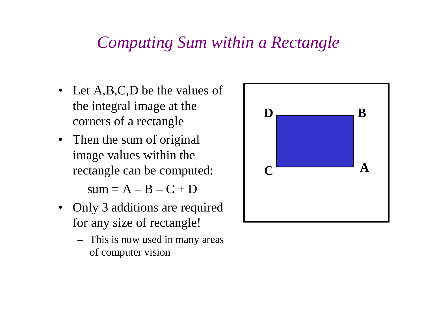### *Computing Sum within a Rectangle*

- Let A,B,C,D be the values of the integral image at the corners of a rectangle
- $\bullet$  Then the sum of original image values within the rectangle can be computed: $sum = A - B - C + D$
- Only 3 additions are required for any size of rectangle!
	- This is now used in many areas of computer vision

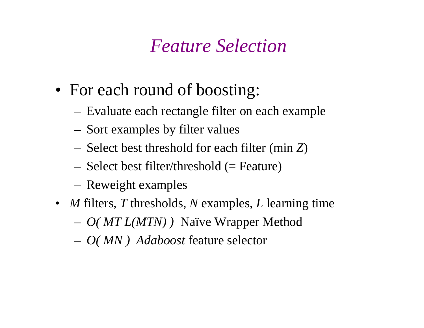## *Feature Selection*

- For each round of boosting:
	- –Evaluate each rectangle filter on each example
	- –Sort examples by filter values
	- –Select best threshold for each filter (min *Z*)
	- –Select best filter/threshold (= Feature)
	- –Reweight examples
- *<sup>M</sup>* filters, *<sup>T</sup>* thresholds, *<sup>N</sup>* examples, *<sup>L</sup>* learning time
	- –*O( MT L(MTN) )* Naïve Wrapper Method
	- –*O( MN ) Adaboost* feature selector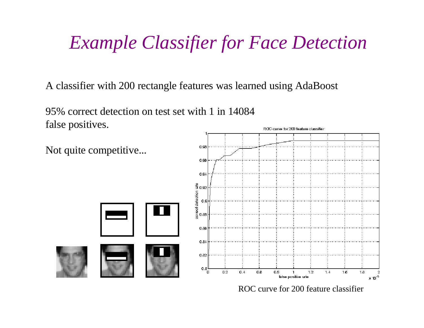## *Example Classifier for Face Detection*

A classifier with 200 rectangle features was learned using AdaBoost

95% correct detection on test set with 1 in 14084false positives.

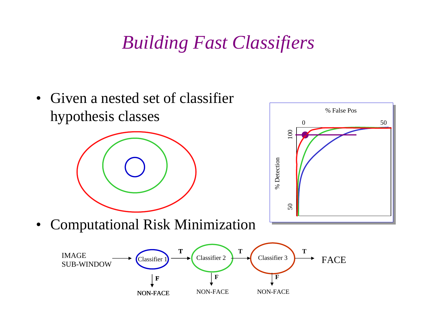## *Building Fast Classifiers*

• Given a nested set of classifier % False Poshypothesis classes $0 \hspace{3.2cm} 50$ 50 100  $\frac{1}{2}$ % Detection % Detection 50 Computational Risk Minimization•**TTTT** $\text{IMAGE}$   $\longrightarrow$  Classifier 1)  $\longrightarrow$  Classifier 2  $\longrightarrow$  Classifier 3  $\longrightarrow$  FAC Classifier 3SUB-WINDOW Classifier Classifier 1<br> $\begin{array}{c}\n\cdot \\
\hline\n\end{array}$   $\begin{array}{c}\n\text{Classifier 2} \\
\hline\n\end{array}$ <br>
NON-FACE NON-FACI FACE**FFF**NON-FACENON-FACENON-FACE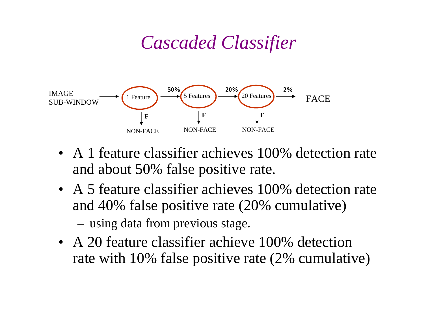## *Cascaded Classifier*



- A 1 feature classifier achieves 100% detection rate and about 50% false positive rate.
- A 5 feature classifier achieves 100% detection rate and 40% false positive rate (20% cumulative)–using data from previous stage.
- A 20 feature classifier achieve 100% detection rate with 10% false positive rate (2% cumulative)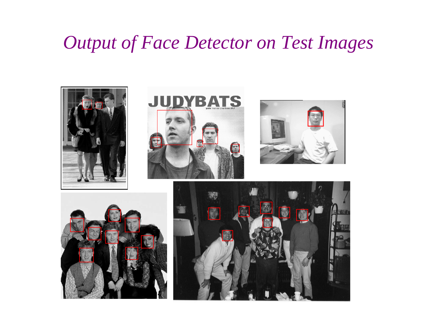### *Output of Face Detector on Test Images*

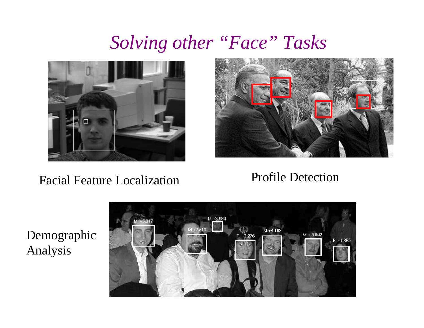## *Solving other "Face" Tasks*



#### Facial Feature Localization



#### Profile Detection

DemographicAnalysis

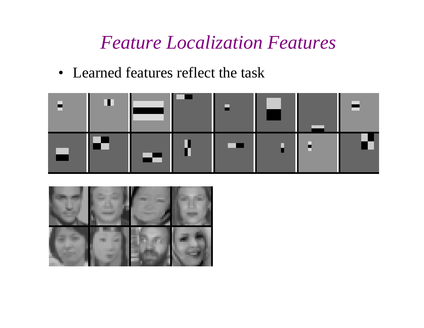*Feature Localization Features*

• Learned features reflect the task



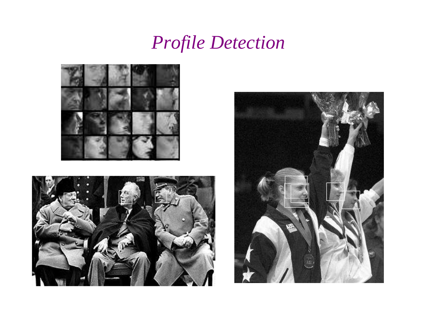## *Profile Detection*





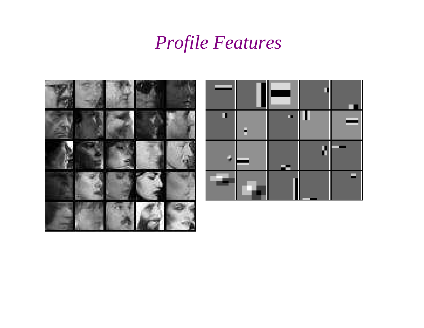## *Profile Features*



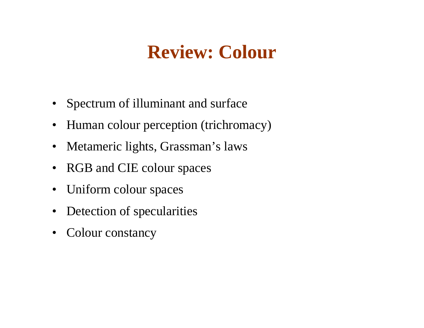## **Review: Colour**

- Spectrum of illuminant and surface
- $\bullet$ Human colour perception (trichromacy)
- $\bullet$ Metameric lights, Grassman's laws
- $\bullet$ RGB and CIE colour spaces
- $\bullet$ Uniform colour spaces
- $\bullet$ Detection of specularities
- $\bullet$ Colour constancy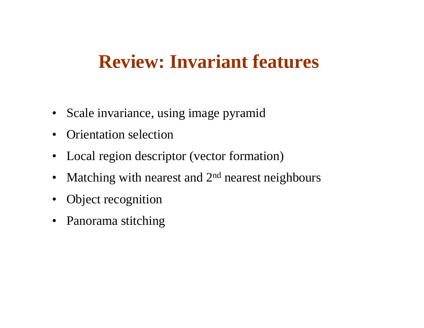## **Review: Invariant features**

- Scale invariance, using image pyramid
- $\bullet$ Orientation selection
- Local region descriptor (vector formation)
- $\bullet$ Matching with nearest and 2<sup>nd</sup> nearest neighbours
- Object recognition
- Panorama stitching